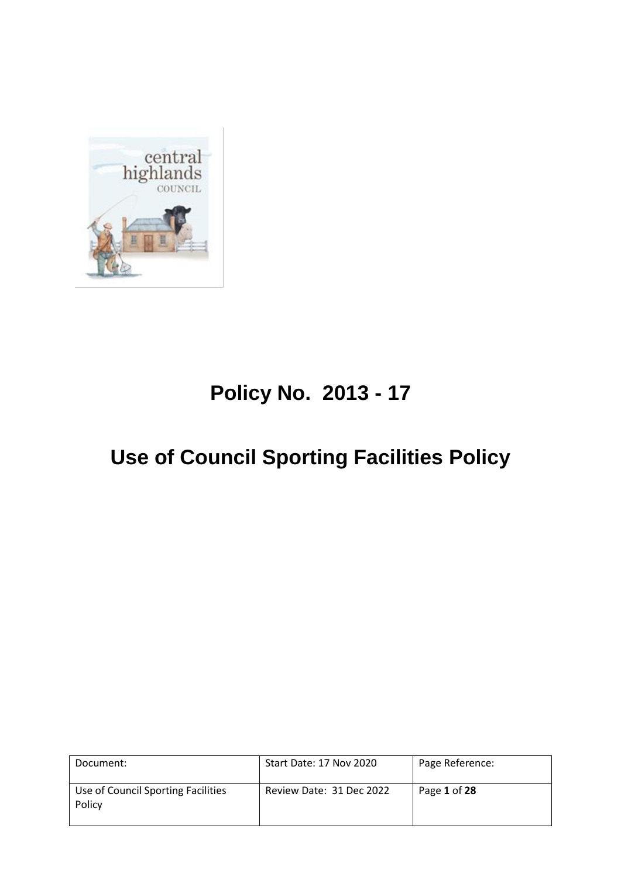

# **Policy No. 2013 - 17**

# **Use of Council Sporting Facilities Policy**

| Document:                                    | <b>Start Date: 17 Nov 2020</b> | Page Reference: |
|----------------------------------------------|--------------------------------|-----------------|
| Use of Council Sporting Facilities<br>Policy | Review Date: 31 Dec 2022       | Page 1 of 28    |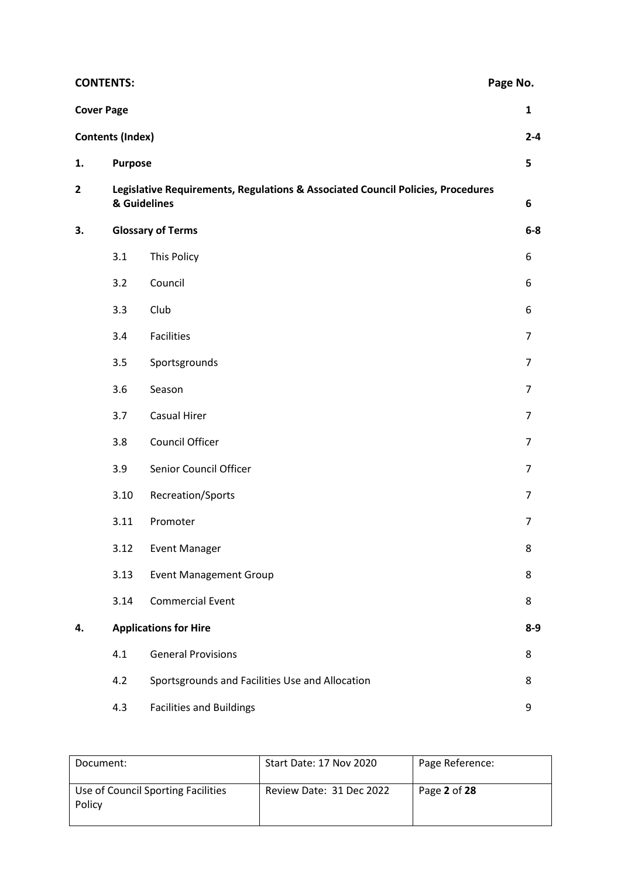| <b>CONTENTS:</b>  |                         |                                                                                 | Page No.       |
|-------------------|-------------------------|---------------------------------------------------------------------------------|----------------|
| <b>Cover Page</b> |                         |                                                                                 | $\mathbf{1}$   |
|                   | <b>Contents (Index)</b> |                                                                                 | $2 - 4$        |
| 1.                | <b>Purpose</b>          |                                                                                 | 5              |
| 2                 | & Guidelines            | Legislative Requirements, Regulations & Associated Council Policies, Procedures | $\bf 6$        |
| 3.                |                         | <b>Glossary of Terms</b>                                                        | $6-8$          |
|                   | 3.1                     | This Policy                                                                     | 6              |
|                   | 3.2                     | Council                                                                         | 6              |
|                   | 3.3                     | Club                                                                            | 6              |
|                   | 3.4                     | <b>Facilities</b>                                                               | $\overline{7}$ |
|                   | 3.5                     | Sportsgrounds                                                                   | $\overline{7}$ |
|                   | 3.6                     | Season                                                                          | 7              |
|                   | 3.7                     | Casual Hirer                                                                    | $\overline{7}$ |
|                   | 3.8                     | Council Officer                                                                 | $\overline{7}$ |
|                   | 3.9                     | Senior Council Officer                                                          | $\overline{7}$ |
|                   | 3.10                    | Recreation/Sports                                                               | $\overline{7}$ |
|                   | 3.11                    | Promoter                                                                        | $\overline{7}$ |
|                   | 3.12                    | <b>Event Manager</b>                                                            | 8              |
|                   | 3.13                    | <b>Event Management Group</b>                                                   | 8              |
|                   | 3.14                    | <b>Commercial Event</b>                                                         | 8              |
| 4.                |                         | <b>Applications for Hire</b>                                                    | $8-9$          |
|                   | 4.1                     | <b>General Provisions</b>                                                       | 8              |
|                   | 4.2                     | Sportsgrounds and Facilities Use and Allocation                                 | 8              |
|                   | 4.3                     | <b>Facilities and Buildings</b>                                                 | 9              |

| Document:                                    | Start Date: 17 Nov 2020  | Page Reference: |
|----------------------------------------------|--------------------------|-----------------|
| Use of Council Sporting Facilities<br>Policy | Review Date: 31 Dec 2022 | Page 2 of 28    |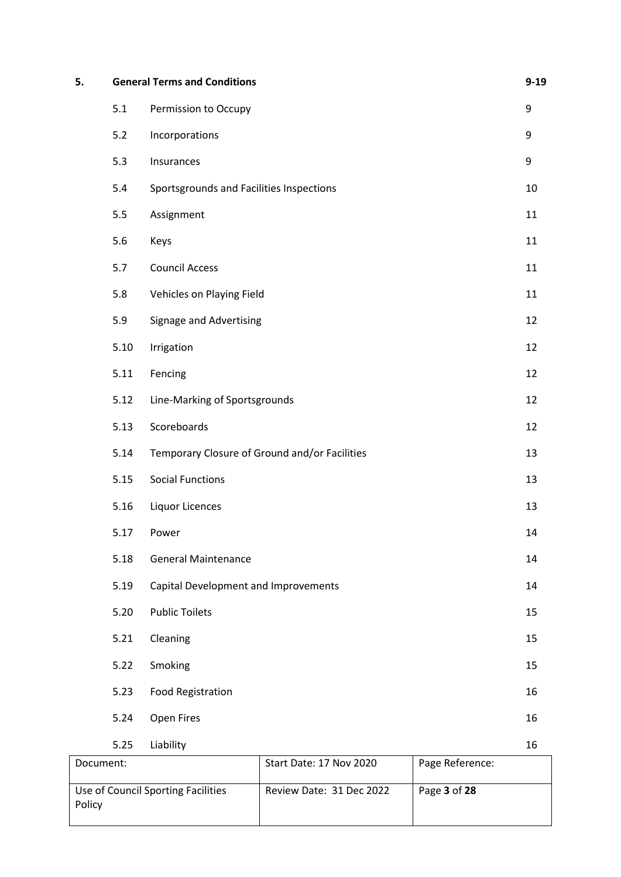| 5. |      | <b>General Terms and Conditions</b>           | $9 - 19$ |
|----|------|-----------------------------------------------|----------|
|    | 5.1  | Permission to Occupy                          | 9        |
|    | 5.2  | Incorporations                                | 9        |
|    | 5.3  | Insurances                                    | 9        |
|    | 5.4  | Sportsgrounds and Facilities Inspections      | 10       |
|    | 5.5  | Assignment                                    | 11       |
|    | 5.6  | Keys                                          | 11       |
|    | 5.7  | <b>Council Access</b>                         | 11       |
|    | 5.8  | Vehicles on Playing Field                     | 11       |
|    | 5.9  | <b>Signage and Advertising</b>                | 12       |
|    | 5.10 | Irrigation                                    | 12       |
|    | 5.11 | Fencing                                       | 12       |
|    | 5.12 | Line-Marking of Sportsgrounds                 | 12       |
|    | 5.13 | Scoreboards                                   | 12       |
|    | 5.14 | Temporary Closure of Ground and/or Facilities | 13       |
|    | 5.15 | <b>Social Functions</b>                       | 13       |
|    | 5.16 | <b>Liquor Licences</b>                        | 13       |
|    | 5.17 | Power                                         | 14       |
|    | 5.18 | <b>General Maintenance</b>                    | 14       |
|    | 5.19 | Capital Development and Improvements          | 14       |
|    | 5.20 | <b>Public Toilets</b>                         | 15       |
|    | 5.21 | Cleaning                                      | 15       |
|    | 5.22 | Smoking                                       | 15       |
|    | 5.23 | <b>Food Registration</b>                      | 16       |
|    | 5.24 | Open Fires                                    | 16       |
|    | 5.25 | Liability                                     | 16       |

| Document:                                    | <b>Start Date: 17 Nov 2020</b> | Page Reference: |
|----------------------------------------------|--------------------------------|-----------------|
| Use of Council Sporting Facilities<br>Policy | Review Date: 31 Dec 2022       | Page 3 of 28    |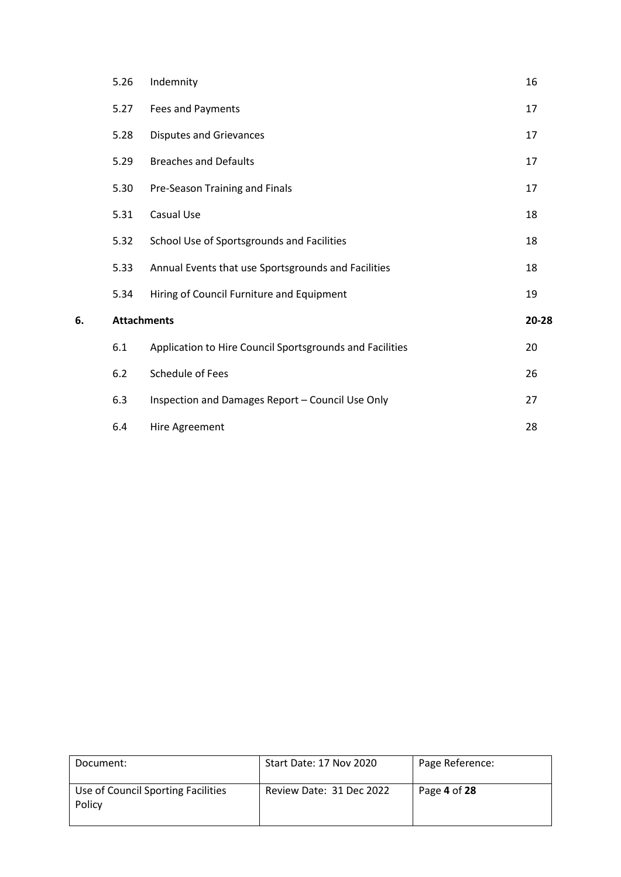| 5.26 | Indemnity                                                | 16                 |
|------|----------------------------------------------------------|--------------------|
| 5.27 | <b>Fees and Payments</b>                                 | 17                 |
| 5.28 | <b>Disputes and Grievances</b>                           | 17                 |
| 5.29 | <b>Breaches and Defaults</b>                             | 17                 |
| 5.30 | Pre-Season Training and Finals                           | 17                 |
| 5.31 | Casual Use                                               | 18                 |
| 5.32 | School Use of Sportsgrounds and Facilities               | 18                 |
| 5.33 | Annual Events that use Sportsgrounds and Facilities      | 18                 |
| 5.34 | Hiring of Council Furniture and Equipment                | 19                 |
|      |                                                          | 20-28              |
| 6.1  | Application to Hire Council Sportsgrounds and Facilities | 20                 |
| 6.2  | <b>Schedule of Fees</b>                                  | 26                 |
| 6.3  | Inspection and Damages Report - Council Use Only         | 27                 |
| 6.4  | Hire Agreement                                           | 28                 |
|      |                                                          | <b>Attachments</b> |

| Document:                                    | Start Date: 17 Nov 2020  | Page Reference: |
|----------------------------------------------|--------------------------|-----------------|
| Use of Council Sporting Facilities<br>Policy | Review Date: 31 Dec 2022 | Page 4 of 28    |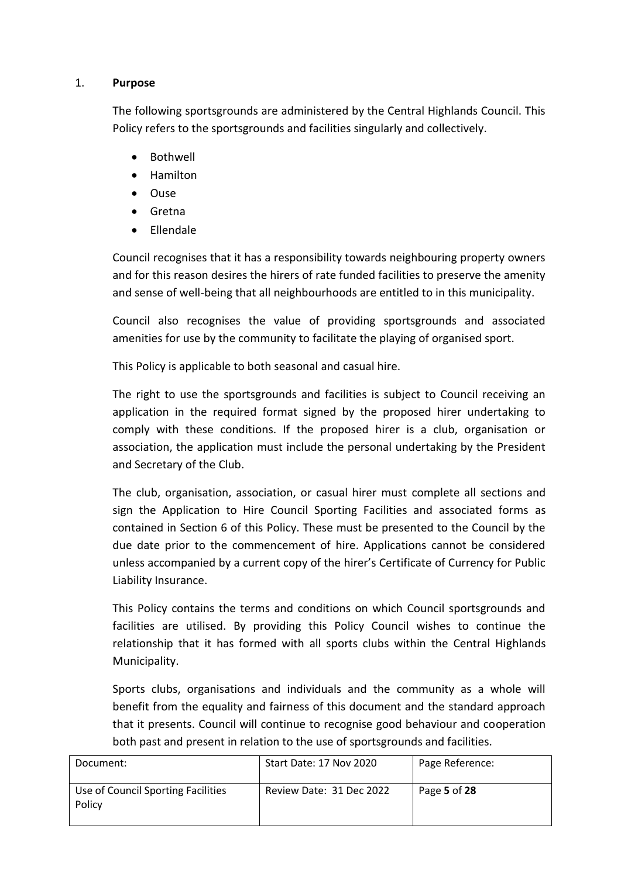#### 1. **Purpose**

The following sportsgrounds are administered by the Central Highlands Council. This Policy refers to the sportsgrounds and facilities singularly and collectively.

- Bothwell
- Hamilton
- Ouse
- Gretna
- Ellendale

Council recognises that it has a responsibility towards neighbouring property owners and for this reason desires the hirers of rate funded facilities to preserve the amenity and sense of well-being that all neighbourhoods are entitled to in this municipality.

Council also recognises the value of providing sportsgrounds and associated amenities for use by the community to facilitate the playing of organised sport.

This Policy is applicable to both seasonal and casual hire.

The right to use the sportsgrounds and facilities is subject to Council receiving an application in the required format signed by the proposed hirer undertaking to comply with these conditions. If the proposed hirer is a club, organisation or association, the application must include the personal undertaking by the President and Secretary of the Club.

The club, organisation, association, or casual hirer must complete all sections and sign the Application to Hire Council Sporting Facilities and associated forms as contained in Section 6 of this Policy. These must be presented to the Council by the due date prior to the commencement of hire. Applications cannot be considered unless accompanied by a current copy of the hirer's Certificate of Currency for Public Liability Insurance.

This Policy contains the terms and conditions on which Council sportsgrounds and facilities are utilised. By providing this Policy Council wishes to continue the relationship that it has formed with all sports clubs within the Central Highlands Municipality.

Sports clubs, organisations and individuals and the community as a whole will benefit from the equality and fairness of this document and the standard approach that it presents. Council will continue to recognise good behaviour and cooperation both past and present in relation to the use of sportsgrounds and facilities.

| Document:                                    | <b>Start Date: 17 Nov 2020</b> | Page Reference: |
|----------------------------------------------|--------------------------------|-----------------|
| Use of Council Sporting Facilities<br>Policy | Review Date: 31 Dec 2022       | Page 5 of 28    |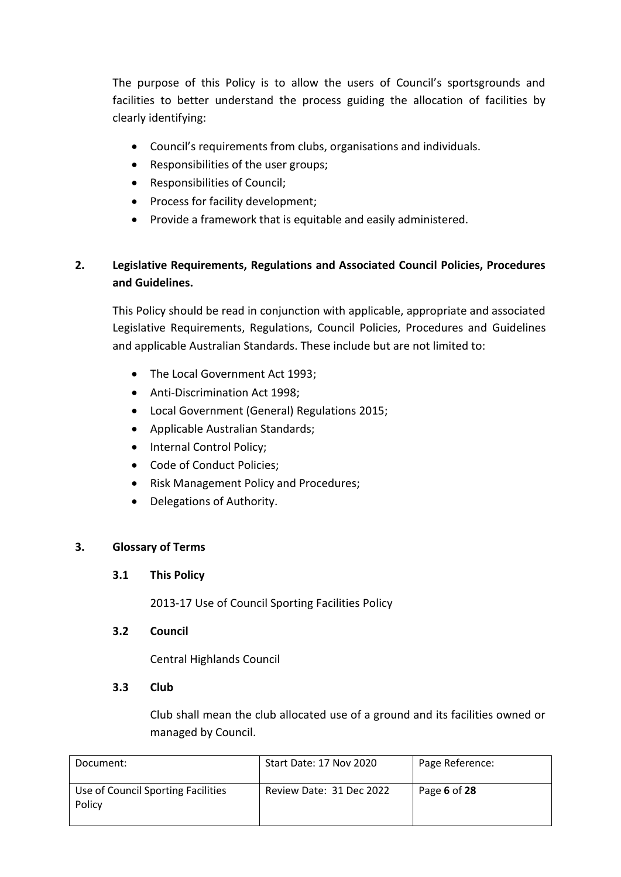The purpose of this Policy is to allow the users of Council's sportsgrounds and facilities to better understand the process guiding the allocation of facilities by clearly identifying:

- Council's requirements from clubs, organisations and individuals.
- Responsibilities of the user groups;
- Responsibilities of Council;
- Process for facility development;
- Provide a framework that is equitable and easily administered.

## **2. Legislative Requirements, Regulations and Associated Council Policies, Procedures and Guidelines.**

This Policy should be read in conjunction with applicable, appropriate and associated Legislative Requirements, Regulations, Council Policies, Procedures and Guidelines and applicable Australian Standards. These include but are not limited to:

- The Local Government Act 1993:
- Anti-Discrimination Act 1998;
- Local Government (General) Regulations 2015;
- Applicable Australian Standards;
- Internal Control Policy;
- Code of Conduct Policies;
- Risk Management Policy and Procedures;
- Delegations of Authority.

## **3. Glossary of Terms**

#### **3.1 This Policy**

2013-17 Use of Council Sporting Facilities Policy

#### **3.2 Council**

Central Highlands Council

#### **3.3 Club**

Club shall mean the club allocated use of a ground and its facilities owned or managed by Council.

| Document:                                    | Start Date: 17 Nov 2020  | Page Reference: |
|----------------------------------------------|--------------------------|-----------------|
| Use of Council Sporting Facilities<br>Policy | Review Date: 31 Dec 2022 | Page 6 of 28    |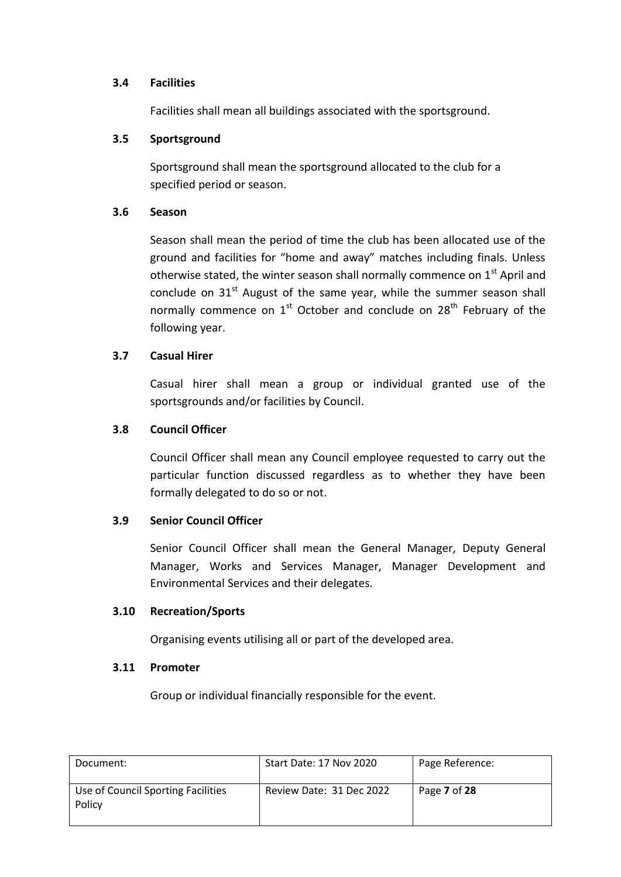#### **3.4 Facilities**

Facilities shall mean all buildings associated with the sportsground.

#### **3.5 Sportsground**

Sportsground shall mean the sportsground allocated to the club for a specified period or season.

#### **3.6 Season**

Season shall mean the period of time the club has been allocated use of the ground and facilities for "home and away" matches including finals. Unless otherwise stated, the winter season shall normally commence on 1<sup>st</sup> April and conclude on  $31<sup>st</sup>$  August of the same year, while the summer season shall normally commence on  $1<sup>st</sup>$  October and conclude on  $28<sup>th</sup>$  February of the following year.

#### **3.7 Casual Hirer**

Casual hirer shall mean a group or individual granted use of the sportsgrounds and/or facilities by Council.

#### **3.8 Council Officer**

Council Officer shall mean any Council employee requested to carry out the particular function discussed regardless as to whether they have been formally delegated to do so or not.

## **3.9 Senior Council Officer**

Senior Council Officer shall mean the General Manager, Deputy General Manager, Works and Services Manager, Manager Development and Environmental Services and their delegates.

#### **3.10 Recreation/Sports**

Organising events utilising all or part of the developed area.

#### **3.11 Promoter**

Group or individual financially responsible for the event.

| Document:                                    | Start Date: 17 Nov 2020  | Page Reference: |
|----------------------------------------------|--------------------------|-----------------|
| Use of Council Sporting Facilities<br>Policy | Review Date: 31 Dec 2022 | Page 7 of 28    |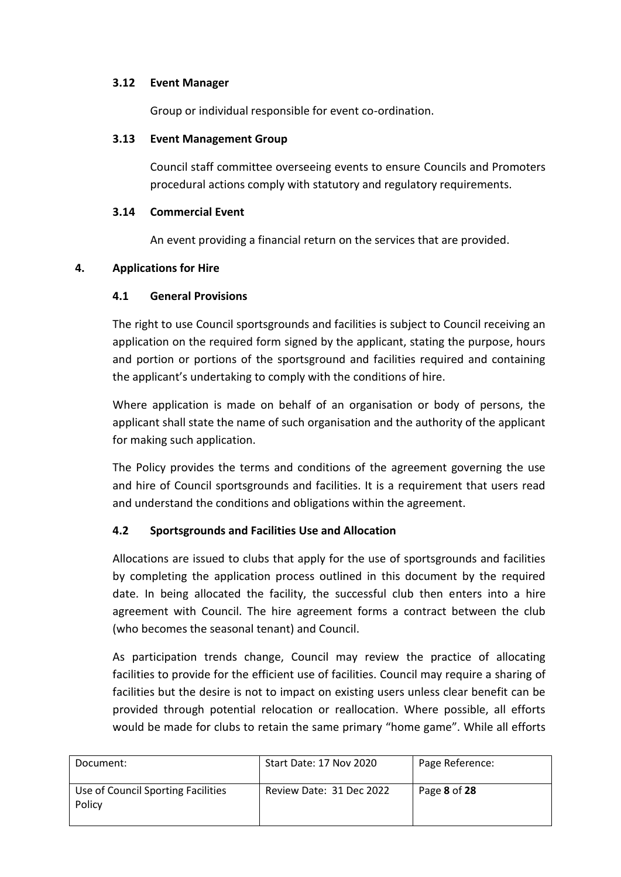## **3.12 Event Manager**

Group or individual responsible for event co-ordination.

#### **3.13 Event Management Group**

Council staff committee overseeing events to ensure Councils and Promoters procedural actions comply with statutory and regulatory requirements.

#### **3.14 Commercial Event**

An event providing a financial return on the services that are provided.

#### **4. Applications for Hire**

## **4.1 General Provisions**

The right to use Council sportsgrounds and facilities is subject to Council receiving an application on the required form signed by the applicant, stating the purpose, hours and portion or portions of the sportsground and facilities required and containing the applicant's undertaking to comply with the conditions of hire.

Where application is made on behalf of an organisation or body of persons, the applicant shall state the name of such organisation and the authority of the applicant for making such application.

The Policy provides the terms and conditions of the agreement governing the use and hire of Council sportsgrounds and facilities. It is a requirement that users read and understand the conditions and obligations within the agreement.

## **4.2 Sportsgrounds and Facilities Use and Allocation**

Allocations are issued to clubs that apply for the use of sportsgrounds and facilities by completing the application process outlined in this document by the required date. In being allocated the facility, the successful club then enters into a hire agreement with Council. The hire agreement forms a contract between the club (who becomes the seasonal tenant) and Council.

As participation trends change, Council may review the practice of allocating facilities to provide for the efficient use of facilities. Council may require a sharing of facilities but the desire is not to impact on existing users unless clear benefit can be provided through potential relocation or reallocation. Where possible, all efforts would be made for clubs to retain the same primary "home game". While all efforts

| Document:                                    | <b>Start Date: 17 Nov 2020</b> | Page Reference: |
|----------------------------------------------|--------------------------------|-----------------|
| Use of Council Sporting Facilities<br>Policy | Review Date: 31 Dec 2022       | Page 8 of 28    |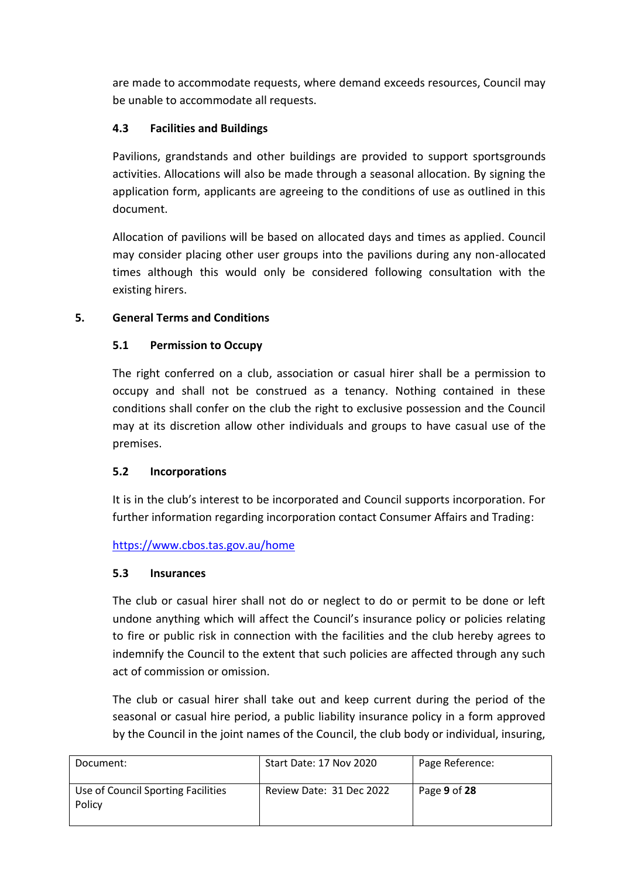are made to accommodate requests, where demand exceeds resources, Council may be unable to accommodate all requests.

## **4.3 Facilities and Buildings**

Pavilions, grandstands and other buildings are provided to support sportsgrounds activities. Allocations will also be made through a seasonal allocation. By signing the application form, applicants are agreeing to the conditions of use as outlined in this document.

Allocation of pavilions will be based on allocated days and times as applied. Council may consider placing other user groups into the pavilions during any non-allocated times although this would only be considered following consultation with the existing hirers.

## **5. General Terms and Conditions**

## **5.1 Permission to Occupy**

The right conferred on a club, association or casual hirer shall be a permission to occupy and shall not be construed as a tenancy. Nothing contained in these conditions shall confer on the club the right to exclusive possession and the Council may at its discretion allow other individuals and groups to have casual use of the premises.

## **5.2 Incorporations**

It is in the club's interest to be incorporated and Council supports incorporation. For further information regarding incorporation contact Consumer Affairs and Trading:

## <https://www.cbos.tas.gov.au/home>

## **5.3 Insurances**

The club or casual hirer shall not do or neglect to do or permit to be done or left undone anything which will affect the Council's insurance policy or policies relating to fire or public risk in connection with the facilities and the club hereby agrees to indemnify the Council to the extent that such policies are affected through any such act of commission or omission.

The club or casual hirer shall take out and keep current during the period of the seasonal or casual hire period, a public liability insurance policy in a form approved by the Council in the joint names of the Council, the club body or individual, insuring,

| Document:                                    | Start Date: 17 Nov 2020  | Page Reference: |
|----------------------------------------------|--------------------------|-----------------|
| Use of Council Sporting Facilities<br>Policy | Review Date: 31 Dec 2022 | Page 9 of 28    |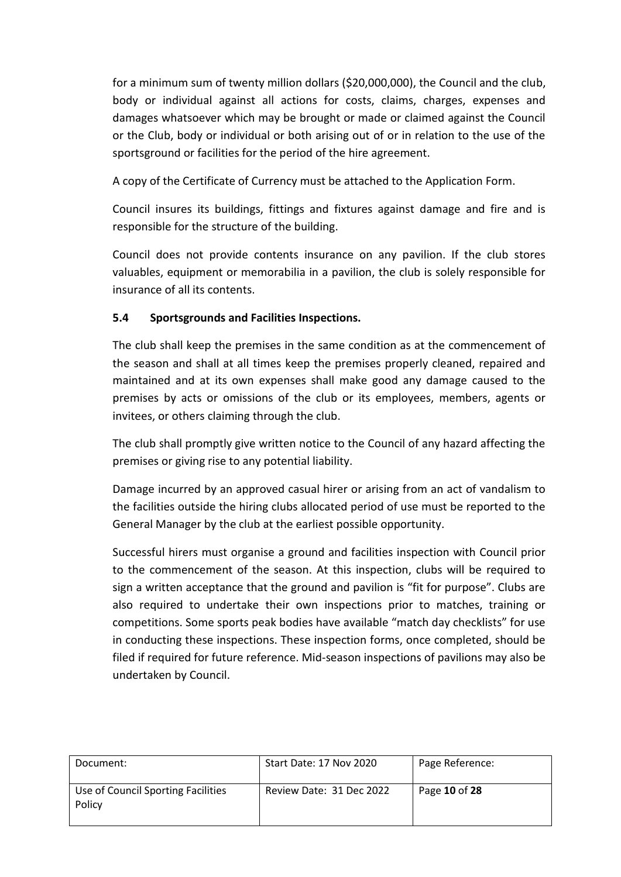for a minimum sum of twenty million dollars (\$20,000,000), the Council and the club, body or individual against all actions for costs, claims, charges, expenses and damages whatsoever which may be brought or made or claimed against the Council or the Club, body or individual or both arising out of or in relation to the use of the sportsground or facilities for the period of the hire agreement.

A copy of the Certificate of Currency must be attached to the Application Form.

Council insures its buildings, fittings and fixtures against damage and fire and is responsible for the structure of the building.

Council does not provide contents insurance on any pavilion. If the club stores valuables, equipment or memorabilia in a pavilion, the club is solely responsible for insurance of all its contents.

## **5.4 Sportsgrounds and Facilities Inspections.**

The club shall keep the premises in the same condition as at the commencement of the season and shall at all times keep the premises properly cleaned, repaired and maintained and at its own expenses shall make good any damage caused to the premises by acts or omissions of the club or its employees, members, agents or invitees, or others claiming through the club.

The club shall promptly give written notice to the Council of any hazard affecting the premises or giving rise to any potential liability.

Damage incurred by an approved casual hirer or arising from an act of vandalism to the facilities outside the hiring clubs allocated period of use must be reported to the General Manager by the club at the earliest possible opportunity.

Successful hirers must organise a ground and facilities inspection with Council prior to the commencement of the season. At this inspection, clubs will be required to sign a written acceptance that the ground and pavilion is "fit for purpose". Clubs are also required to undertake their own inspections prior to matches, training or competitions. Some sports peak bodies have available "match day checklists" for use in conducting these inspections. These inspection forms, once completed, should be filed if required for future reference. Mid-season inspections of pavilions may also be undertaken by Council.

| Document:                                    | Start Date: 17 Nov 2020  | Page Reference: |
|----------------------------------------------|--------------------------|-----------------|
| Use of Council Sporting Facilities<br>Policy | Review Date: 31 Dec 2022 | Page 10 of 28   |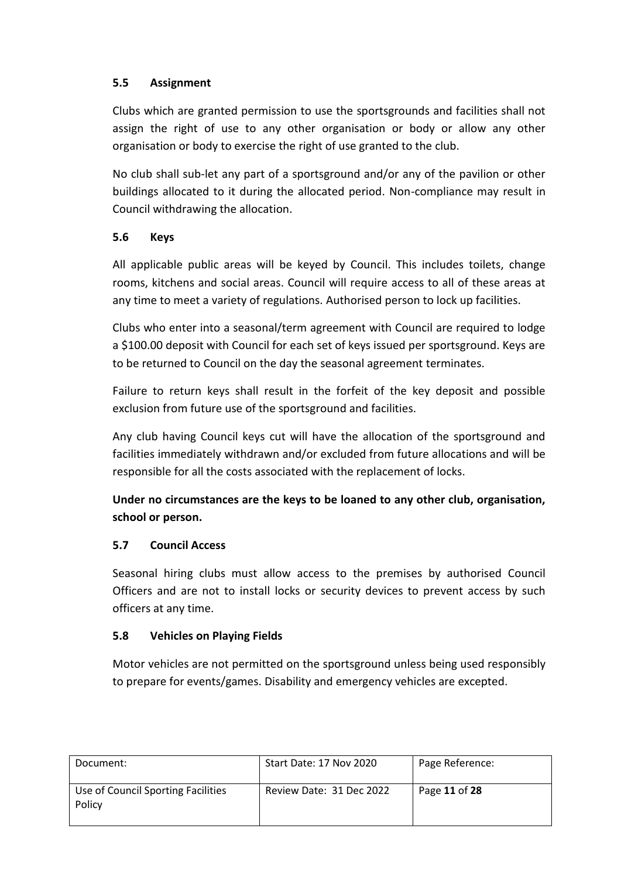## **5.5 Assignment**

Clubs which are granted permission to use the sportsgrounds and facilities shall not assign the right of use to any other organisation or body or allow any other organisation or body to exercise the right of use granted to the club.

No club shall sub-let any part of a sportsground and/or any of the pavilion or other buildings allocated to it during the allocated period. Non-compliance may result in Council withdrawing the allocation.

## **5.6 Keys**

All applicable public areas will be keyed by Council. This includes toilets, change rooms, kitchens and social areas. Council will require access to all of these areas at any time to meet a variety of regulations. Authorised person to lock up facilities.

Clubs who enter into a seasonal/term agreement with Council are required to lodge a \$100.00 deposit with Council for each set of keys issued per sportsground. Keys are to be returned to Council on the day the seasonal agreement terminates.

Failure to return keys shall result in the forfeit of the key deposit and possible exclusion from future use of the sportsground and facilities.

Any club having Council keys cut will have the allocation of the sportsground and facilities immediately withdrawn and/or excluded from future allocations and will be responsible for all the costs associated with the replacement of locks.

**Under no circumstances are the keys to be loaned to any other club, organisation, school or person.**

## **5.7 Council Access**

Seasonal hiring clubs must allow access to the premises by authorised Council Officers and are not to install locks or security devices to prevent access by such officers at any time.

## **5.8 Vehicles on Playing Fields**

Motor vehicles are not permitted on the sportsground unless being used responsibly to prepare for events/games. Disability and emergency vehicles are excepted.

| Document:                                    | Start Date: 17 Nov 2020  | Page Reference: |
|----------------------------------------------|--------------------------|-----------------|
| Use of Council Sporting Facilities<br>Policy | Review Date: 31 Dec 2022 | Page 11 of 28   |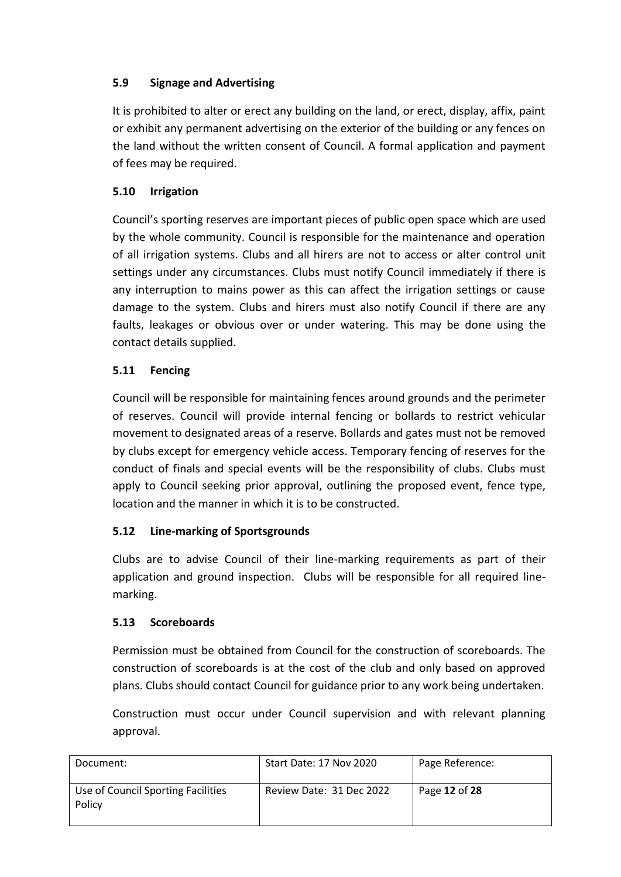## **5.9 Signage and Advertising**

It is prohibited to alter or erect any building on the land, or erect, display, affix, paint or exhibit any permanent advertising on the exterior of the building or any fences on the land without the written consent of Council. A formal application and payment of fees may be required.

## **5.10 Irrigation**

Council's sporting reserves are important pieces of public open space which are used by the whole community. Council is responsible for the maintenance and operation of all irrigation systems. Clubs and all hirers are not to access or alter control unit settings under any circumstances. Clubs must notify Council immediately if there is any interruption to mains power as this can affect the irrigation settings or cause damage to the system. Clubs and hirers must also notify Council if there are any faults, leakages or obvious over or under watering. This may be done using the contact details supplied.

## **5.11 Fencing**

Council will be responsible for maintaining fences around grounds and the perimeter of reserves. Council will provide internal fencing or bollards to restrict vehicular movement to designated areas of a reserve. Bollards and gates must not be removed by clubs except for emergency vehicle access. Temporary fencing of reserves for the conduct of finals and special events will be the responsibility of clubs. Clubs must apply to Council seeking prior approval, outlining the proposed event, fence type, location and the manner in which it is to be constructed.

## **5.12 Line-marking of Sportsgrounds**

Clubs are to advise Council of their line-marking requirements as part of their application and ground inspection. Clubs will be responsible for all required linemarking.

## **5.13 Scoreboards**

Permission must be obtained from Council for the construction of scoreboards. The construction of scoreboards is at the cost of the club and only based on approved plans. Clubs should contact Council for guidance prior to any work being undertaken.

Construction must occur under Council supervision and with relevant planning approval.

| Document:                                    | Start Date: 17 Nov 2020  | Page Reference: |
|----------------------------------------------|--------------------------|-----------------|
| Use of Council Sporting Facilities<br>Policy | Review Date: 31 Dec 2022 | Page 12 of 28   |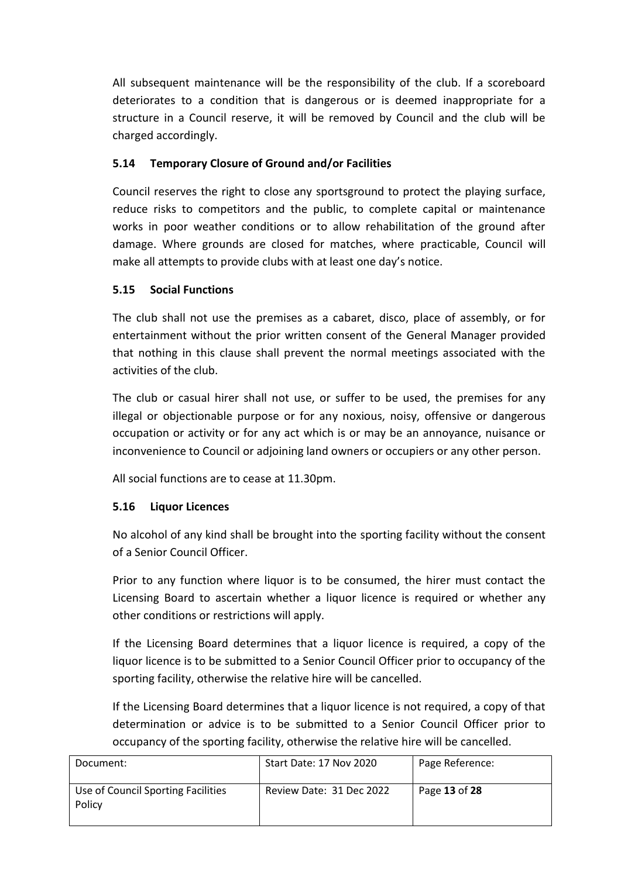All subsequent maintenance will be the responsibility of the club. If a scoreboard deteriorates to a condition that is dangerous or is deemed inappropriate for a structure in a Council reserve, it will be removed by Council and the club will be charged accordingly.

## **5.14 Temporary Closure of Ground and/or Facilities**

Council reserves the right to close any sportsground to protect the playing surface, reduce risks to competitors and the public, to complete capital or maintenance works in poor weather conditions or to allow rehabilitation of the ground after damage. Where grounds are closed for matches, where practicable, Council will make all attempts to provide clubs with at least one day's notice.

## **5.15 Social Functions**

The club shall not use the premises as a cabaret, disco, place of assembly, or for entertainment without the prior written consent of the General Manager provided that nothing in this clause shall prevent the normal meetings associated with the activities of the club.

The club or casual hirer shall not use, or suffer to be used, the premises for any illegal or objectionable purpose or for any noxious, noisy, offensive or dangerous occupation or activity or for any act which is or may be an annoyance, nuisance or inconvenience to Council or adjoining land owners or occupiers or any other person.

All social functions are to cease at 11.30pm.

## **5.16 Liquor Licences**

No alcohol of any kind shall be brought into the sporting facility without the consent of a Senior Council Officer.

Prior to any function where liquor is to be consumed, the hirer must contact the Licensing Board to ascertain whether a liquor licence is required or whether any other conditions or restrictions will apply.

If the Licensing Board determines that a liquor licence is required, a copy of the liquor licence is to be submitted to a Senior Council Officer prior to occupancy of the sporting facility, otherwise the relative hire will be cancelled.

If the Licensing Board determines that a liquor licence is not required, a copy of that determination or advice is to be submitted to a Senior Council Officer prior to occupancy of the sporting facility, otherwise the relative hire will be cancelled.

| Document:                                    | Start Date: 17 Nov 2020  | Page Reference: |
|----------------------------------------------|--------------------------|-----------------|
| Use of Council Sporting Facilities<br>Policy | Review Date: 31 Dec 2022 | Page 13 of 28   |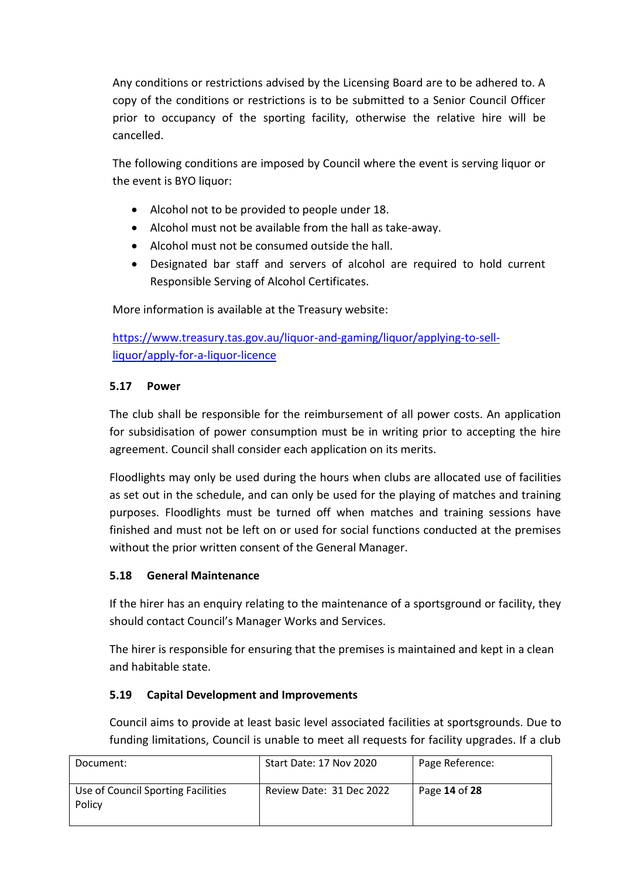Any conditions or restrictions advised by the Licensing Board are to be adhered to. A copy of the conditions or restrictions is to be submitted to a Senior Council Officer prior to occupancy of the sporting facility, otherwise the relative hire will be cancelled.

The following conditions are imposed by Council where the event is serving liquor or the event is BYO liquor:

- Alcohol not to be provided to people under 18.
- Alcohol must not be available from the hall as take-away.
- Alcohol must not be consumed outside the hall.
- Designated bar staff and servers of alcohol are required to hold current Responsible Serving of Alcohol Certificates.

More information is available at the Treasury website:

[https://www.treasury.tas.gov.au/liquor-and-gaming/liquor/applying-to-sell](https://www.treasury.tas.gov.au/liquor-and-gaming/liquor/applying-to-sell-liquor/apply-for-a-liquor-licence)[liquor/apply-for-a-liquor-licence](https://www.treasury.tas.gov.au/liquor-and-gaming/liquor/applying-to-sell-liquor/apply-for-a-liquor-licence)

## **5.17 Power**

The club shall be responsible for the reimbursement of all power costs. An application for subsidisation of power consumption must be in writing prior to accepting the hire agreement. Council shall consider each application on its merits.

Floodlights may only be used during the hours when clubs are allocated use of facilities as set out in the schedule, and can only be used for the playing of matches and training purposes. Floodlights must be turned off when matches and training sessions have finished and must not be left on or used for social functions conducted at the premises without the prior written consent of the General Manager.

## **5.18 General Maintenance**

If the hirer has an enquiry relating to the maintenance of a sportsground or facility, they should contact Council's Manager Works and Services.

The hirer is responsible for ensuring that the premises is maintained and kept in a clean and habitable state.

## **5.19 Capital Development and Improvements**

Council aims to provide at least basic level associated facilities at sportsgrounds. Due to funding limitations, Council is unable to meet all requests for facility upgrades. If a club

| Document:                                    | Start Date: 17 Nov 2020  | Page Reference: |
|----------------------------------------------|--------------------------|-----------------|
| Use of Council Sporting Facilities<br>Policy | Review Date: 31 Dec 2022 | Page 14 of 28   |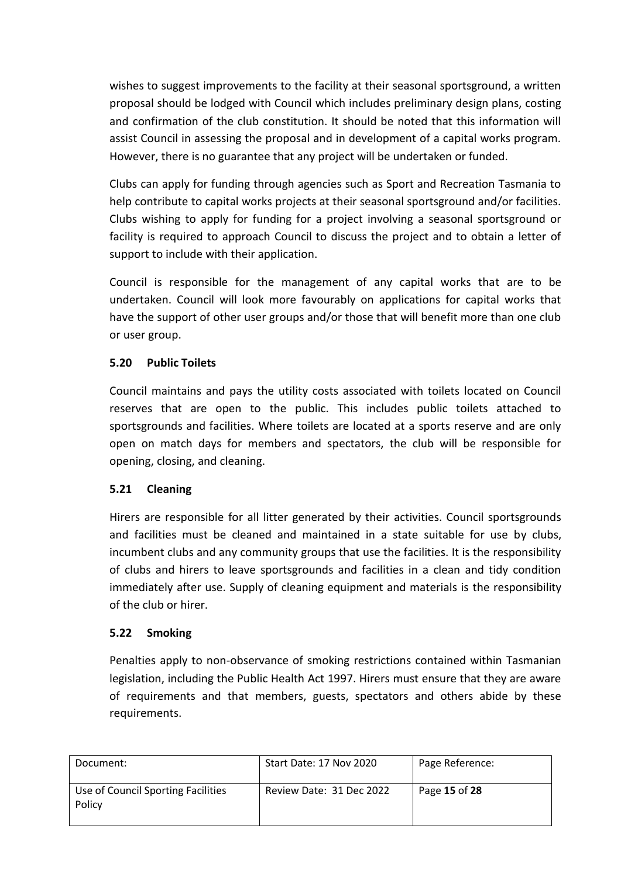wishes to suggest improvements to the facility at their seasonal sportsground, a written proposal should be lodged with Council which includes preliminary design plans, costing and confirmation of the club constitution. It should be noted that this information will assist Council in assessing the proposal and in development of a capital works program. However, there is no guarantee that any project will be undertaken or funded.

Clubs can apply for funding through agencies such as Sport and Recreation Tasmania to help contribute to capital works projects at their seasonal sportsground and/or facilities. Clubs wishing to apply for funding for a project involving a seasonal sportsground or facility is required to approach Council to discuss the project and to obtain a letter of support to include with their application.

Council is responsible for the management of any capital works that are to be undertaken. Council will look more favourably on applications for capital works that have the support of other user groups and/or those that will benefit more than one club or user group.

## **5.20 Public Toilets**

Council maintains and pays the utility costs associated with toilets located on Council reserves that are open to the public. This includes public toilets attached to sportsgrounds and facilities. Where toilets are located at a sports reserve and are only open on match days for members and spectators, the club will be responsible for opening, closing, and cleaning.

## **5.21 Cleaning**

Hirers are responsible for all litter generated by their activities. Council sportsgrounds and facilities must be cleaned and maintained in a state suitable for use by clubs, incumbent clubs and any community groups that use the facilities. It is the responsibility of clubs and hirers to leave sportsgrounds and facilities in a clean and tidy condition immediately after use. Supply of cleaning equipment and materials is the responsibility of the club or hirer.

## **5.22 Smoking**

Penalties apply to non-observance of smoking restrictions contained within Tasmanian legislation, including the Public Health Act 1997. Hirers must ensure that they are aware of requirements and that members, guests, spectators and others abide by these requirements.

| Document:                                    | Start Date: 17 Nov 2020  | Page Reference: |
|----------------------------------------------|--------------------------|-----------------|
| Use of Council Sporting Facilities<br>Policy | Review Date: 31 Dec 2022 | Page 15 of 28   |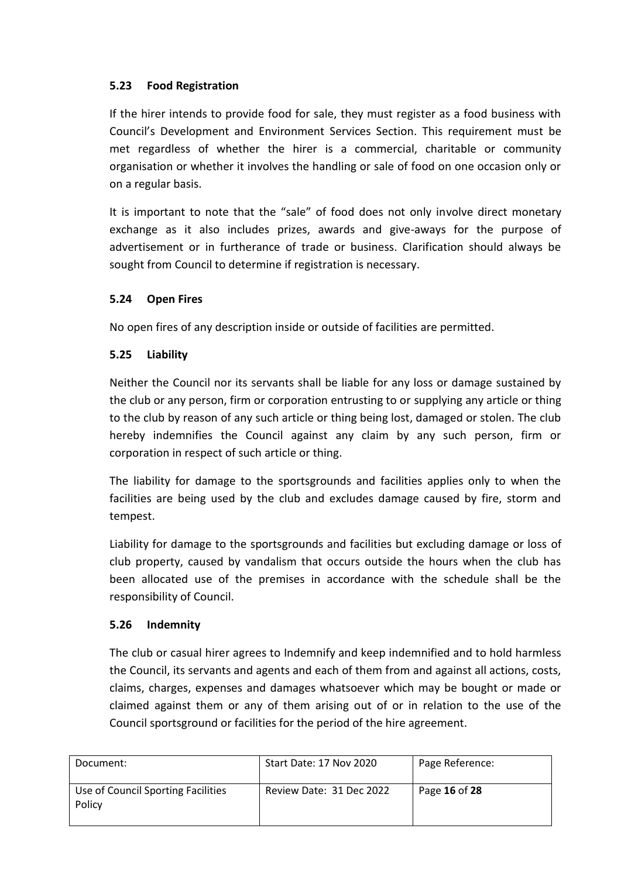## **5.23 Food Registration**

If the hirer intends to provide food for sale, they must register as a food business with Council's Development and Environment Services Section. This requirement must be met regardless of whether the hirer is a commercial, charitable or community organisation or whether it involves the handling or sale of food on one occasion only or on a regular basis.

It is important to note that the "sale" of food does not only involve direct monetary exchange as it also includes prizes, awards and give-aways for the purpose of advertisement or in furtherance of trade or business. Clarification should always be sought from Council to determine if registration is necessary.

## **5.24 Open Fires**

No open fires of any description inside or outside of facilities are permitted.

## **5.25 Liability**

Neither the Council nor its servants shall be liable for any loss or damage sustained by the club or any person, firm or corporation entrusting to or supplying any article or thing to the club by reason of any such article or thing being lost, damaged or stolen. The club hereby indemnifies the Council against any claim by any such person, firm or corporation in respect of such article or thing.

The liability for damage to the sportsgrounds and facilities applies only to when the facilities are being used by the club and excludes damage caused by fire, storm and tempest.

Liability for damage to the sportsgrounds and facilities but excluding damage or loss of club property, caused by vandalism that occurs outside the hours when the club has been allocated use of the premises in accordance with the schedule shall be the responsibility of Council.

## **5.26 Indemnity**

The club or casual hirer agrees to Indemnify and keep indemnified and to hold harmless the Council, its servants and agents and each of them from and against all actions, costs, claims, charges, expenses and damages whatsoever which may be bought or made or claimed against them or any of them arising out of or in relation to the use of the Council sportsground or facilities for the period of the hire agreement.

| Document:                                    | Start Date: 17 Nov 2020  | Page Reference: |
|----------------------------------------------|--------------------------|-----------------|
| Use of Council Sporting Facilities<br>Policy | Review Date: 31 Dec 2022 | Page 16 of 28   |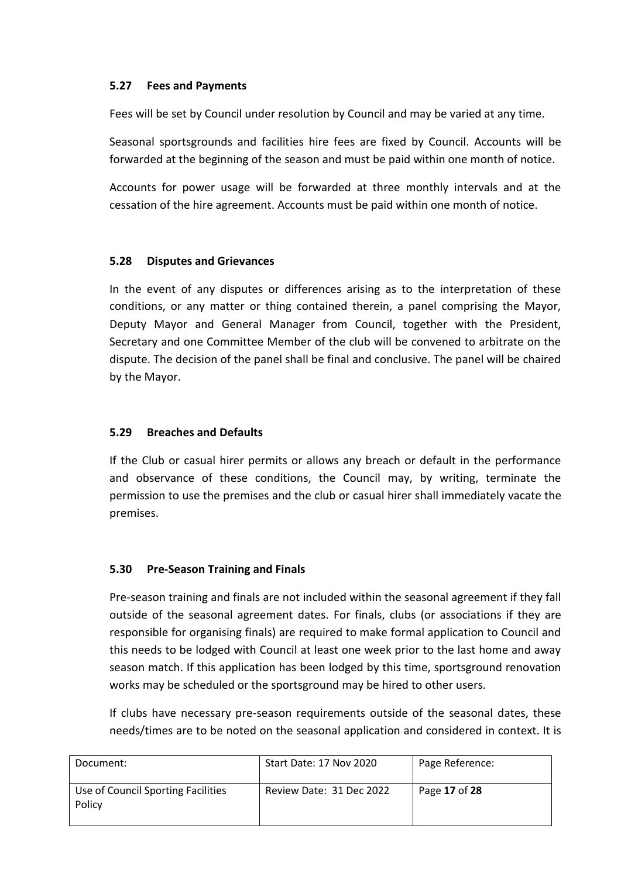## **5.27 Fees and Payments**

Fees will be set by Council under resolution by Council and may be varied at any time.

Seasonal sportsgrounds and facilities hire fees are fixed by Council. Accounts will be forwarded at the beginning of the season and must be paid within one month of notice.

Accounts for power usage will be forwarded at three monthly intervals and at the cessation of the hire agreement. Accounts must be paid within one month of notice.

## **5.28 Disputes and Grievances**

In the event of any disputes or differences arising as to the interpretation of these conditions, or any matter or thing contained therein, a panel comprising the Mayor, Deputy Mayor and General Manager from Council, together with the President, Secretary and one Committee Member of the club will be convened to arbitrate on the dispute. The decision of the panel shall be final and conclusive. The panel will be chaired by the Mayor.

## **5.29 Breaches and Defaults**

If the Club or casual hirer permits or allows any breach or default in the performance and observance of these conditions, the Council may, by writing, terminate the permission to use the premises and the club or casual hirer shall immediately vacate the premises.

## **5.30 Pre-Season Training and Finals**

Pre-season training and finals are not included within the seasonal agreement if they fall outside of the seasonal agreement dates. For finals, clubs (or associations if they are responsible for organising finals) are required to make formal application to Council and this needs to be lodged with Council at least one week prior to the last home and away season match. If this application has been lodged by this time, sportsground renovation works may be scheduled or the sportsground may be hired to other users.

If clubs have necessary pre-season requirements outside of the seasonal dates, these needs/times are to be noted on the seasonal application and considered in context. It is

| Document:                                    | Start Date: 17 Nov 2020  | Page Reference: |
|----------------------------------------------|--------------------------|-----------------|
| Use of Council Sporting Facilities<br>Policy | Review Date: 31 Dec 2022 | Page 17 of 28   |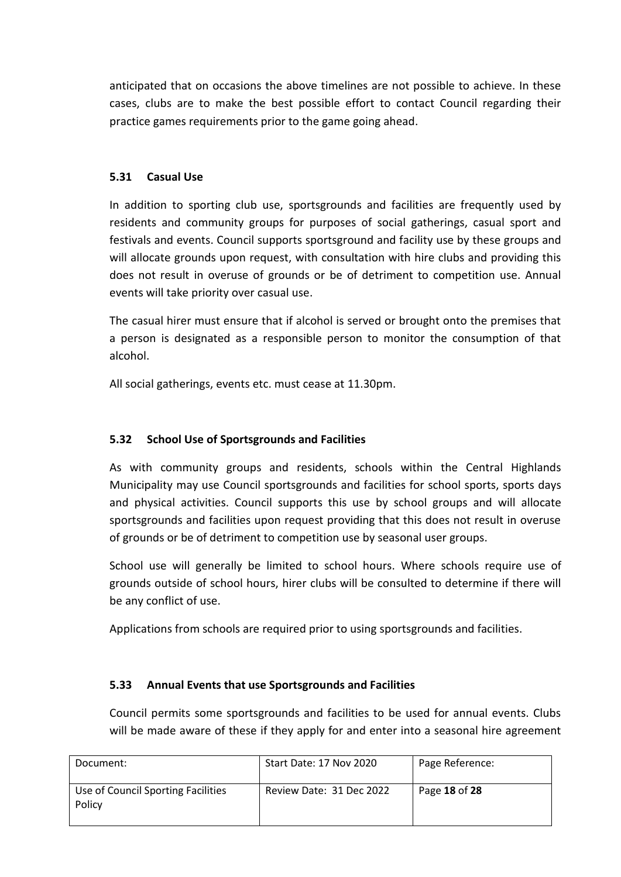anticipated that on occasions the above timelines are not possible to achieve. In these cases, clubs are to make the best possible effort to contact Council regarding their practice games requirements prior to the game going ahead.

## **5.31 Casual Use**

In addition to sporting club use, sportsgrounds and facilities are frequently used by residents and community groups for purposes of social gatherings, casual sport and festivals and events. Council supports sportsground and facility use by these groups and will allocate grounds upon request, with consultation with hire clubs and providing this does not result in overuse of grounds or be of detriment to competition use. Annual events will take priority over casual use.

The casual hirer must ensure that if alcohol is served or brought onto the premises that a person is designated as a responsible person to monitor the consumption of that alcohol.

All social gatherings, events etc. must cease at 11.30pm.

## **5.32 School Use of Sportsgrounds and Facilities**

As with community groups and residents, schools within the Central Highlands Municipality may use Council sportsgrounds and facilities for school sports, sports days and physical activities. Council supports this use by school groups and will allocate sportsgrounds and facilities upon request providing that this does not result in overuse of grounds or be of detriment to competition use by seasonal user groups.

School use will generally be limited to school hours. Where schools require use of grounds outside of school hours, hirer clubs will be consulted to determine if there will be any conflict of use.

Applications from schools are required prior to using sportsgrounds and facilities.

## **5.33 Annual Events that use Sportsgrounds and Facilities**

Council permits some sportsgrounds and facilities to be used for annual events. Clubs will be made aware of these if they apply for and enter into a seasonal hire agreement

| Document:                                    | Start Date: 17 Nov 2020  | Page Reference: |
|----------------------------------------------|--------------------------|-----------------|
| Use of Council Sporting Facilities<br>Policy | Review Date: 31 Dec 2022 | Page 18 of 28   |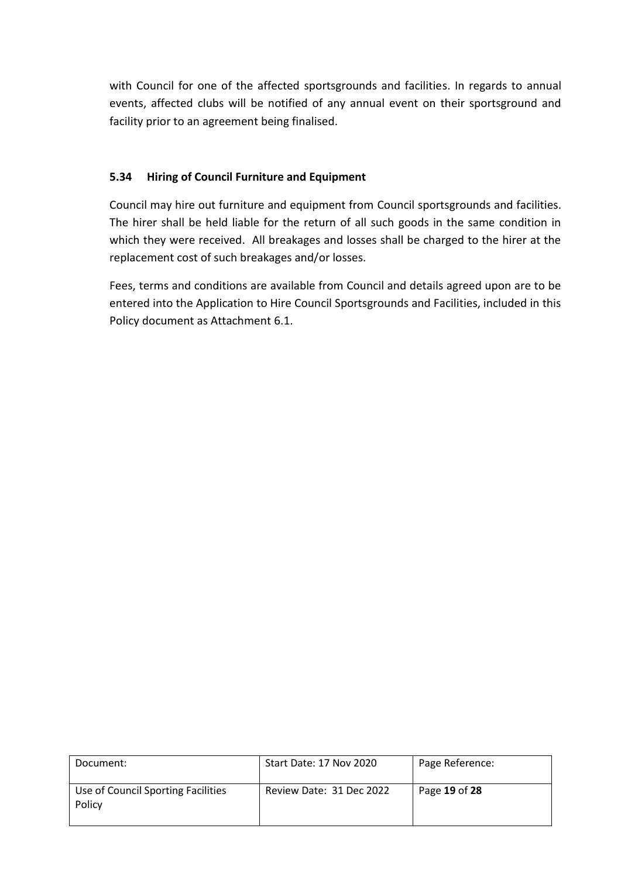with Council for one of the affected sportsgrounds and facilities. In regards to annual events, affected clubs will be notified of any annual event on their sportsground and facility prior to an agreement being finalised.

## **5.34 Hiring of Council Furniture and Equipment**

Council may hire out furniture and equipment from Council sportsgrounds and facilities. The hirer shall be held liable for the return of all such goods in the same condition in which they were received. All breakages and losses shall be charged to the hirer at the replacement cost of such breakages and/or losses.

Fees, terms and conditions are available from Council and details agreed upon are to be entered into the Application to Hire Council Sportsgrounds and Facilities, included in this Policy document as Attachment 6.1.

| Document:                                    | Start Date: 17 Nov 2020  | Page Reference: |
|----------------------------------------------|--------------------------|-----------------|
| Use of Council Sporting Facilities<br>Policy | Review Date: 31 Dec 2022 | Page 19 of 28   |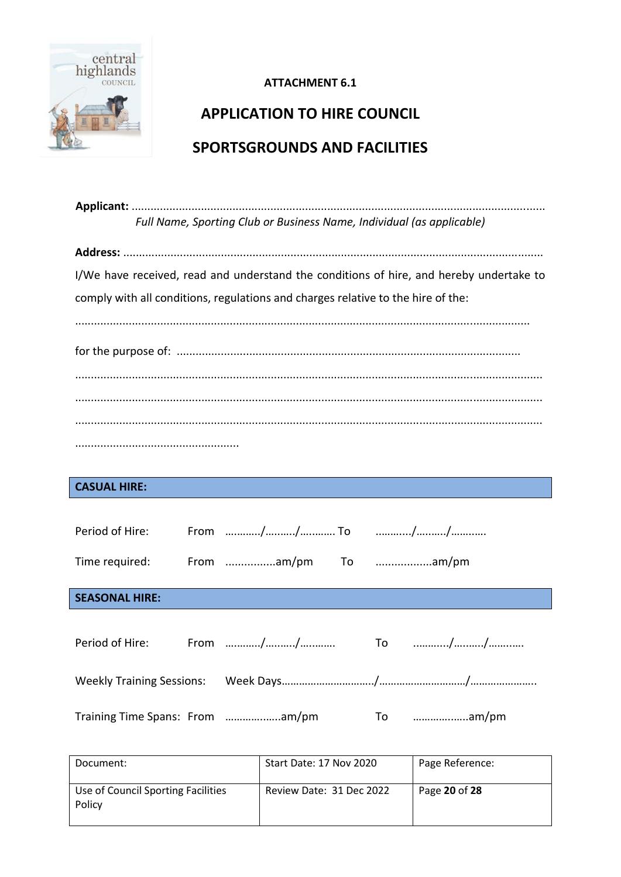

## **APPLICATION TO HIRE COUNCIL SPORTSGROUNDS AND FACILITIES**

**Applicant:** ................................................................................................................................... *Full Name, Sporting Club or Business Name, Individual (as applicable)*

**Address:** ..................................................................................................................................... I/We have received, read and understand the conditions of hire, and hereby undertake to comply with all conditions, regulations and charges relative to the hire of the:

................................................................................................................................................

## **CASUAL HIRE:**

| Period of Hire:                 |                     |          |
|---------------------------------|---------------------|----------|
| Time required:                  | From am/pm To am/pm |          |
| <b>SEASONAL HIRE:</b>           |                     |          |
|                                 |                     |          |
| Period of Hire:                 |                     |          |
|                                 |                     |          |
| Training Time Spans: From am/pm |                     | To am/pm |

| Document:                                    | Start Date: 17 Nov 2020  | Page Reference: |
|----------------------------------------------|--------------------------|-----------------|
| Use of Council Sporting Facilities<br>Policy | Review Date: 31 Dec 2022 | Page 20 of 28   |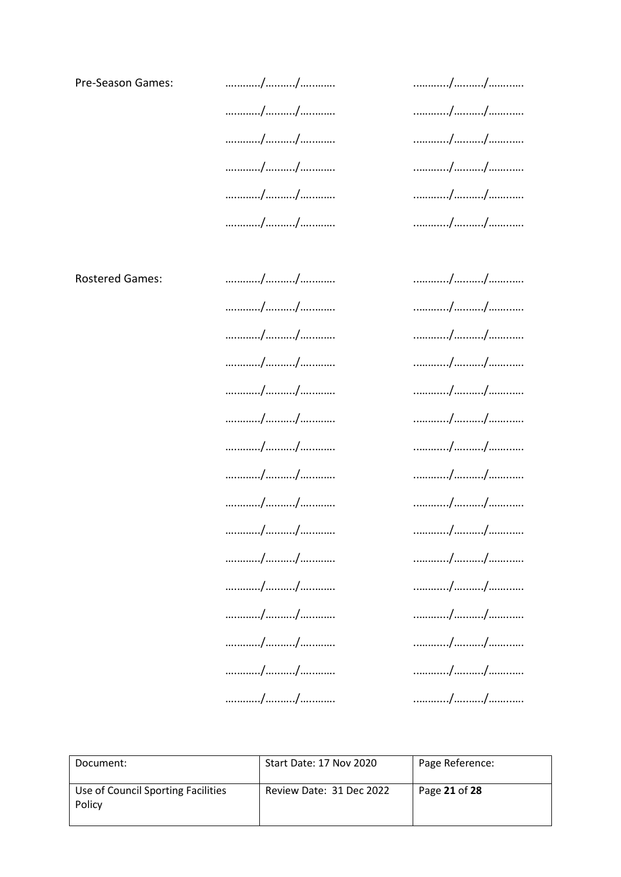Pre-Season Games:

**Rostered Games:** 

............/........./............ ............/........./............. ............/........./............ ............/........../............ ............/........./............. ............/........./.............

|  | // |  |
|--|----|--|
|  |    |  |
|  | // |  |
|  |    |  |
|  | // |  |
|  |    |  |
|  | // |  |
|  |    |  |
|  |    |  |
|  | // |  |
|  |    |  |

| // |
|----|
| // |
| // |
|    |
| // |
| // |
| // |
| // |
|    |
| // |
| // |
| // |
| // |
|    |
| // |
| // |
| // |
| // |
| // |
|    |

|  | // |
|--|----|
|  |    |
|  | // |
|  | // |
|  |    |
|  | // |
|  |    |
|  |    |
|  | // |
|  | // |
|  |    |
|  | // |
|  | // |
|  |    |
|  | // |
|  | // |
|  |    |
|  | // |
|  | // |
|  |    |
|  | // |
|  | // |
|  |    |
|  | // |

| Document:                                    | Start Date: 17 Nov 2020  | Page Reference: |
|----------------------------------------------|--------------------------|-----------------|
| Use of Council Sporting Facilities<br>Policy | Review Date: 31 Dec 2022 | Page 21 of 28   |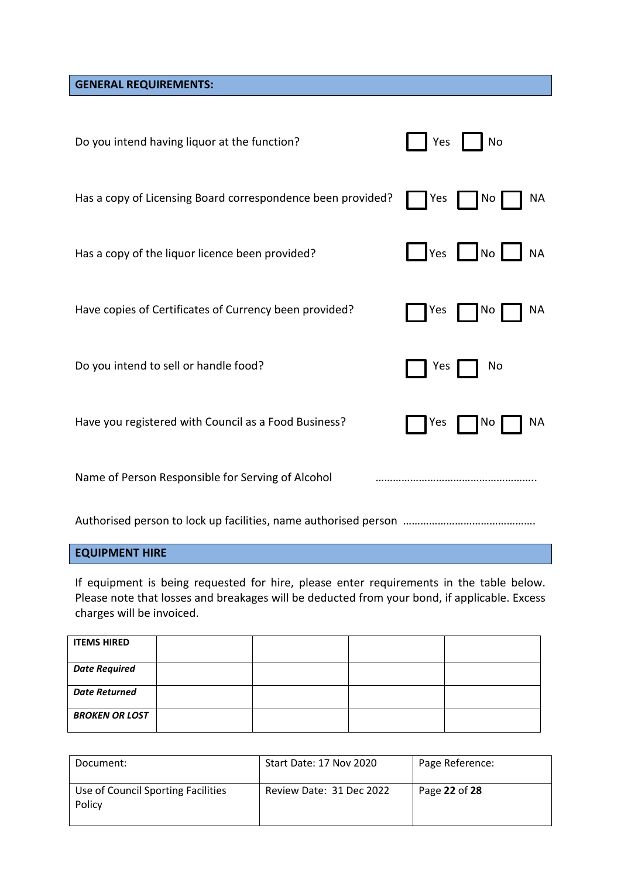**GENERAL REQUIREMENTS:**

| Do you intend having liquor at the function?                | No<br>Yes                          |
|-------------------------------------------------------------|------------------------------------|
| Has a copy of Licensing Board correspondence been provided? | <b>NA</b><br>  No<br>Yes           |
| Has a copy of the liquor licence been provided?             | $\sqrt{Y}$ es $No$<br><b>NA</b>    |
| Have copies of Certificates of Currency been provided?      | <b>NA</b><br>$\blacksquare$<br>Yes |
| Do you intend to sell or handle food?                       | No<br>Yes                          |
| Have you registered with Council as a Food Business?        | <b>NA</b><br>Yes<br>  No           |
| Name of Person Responsible for Serving of Alcohol           |                                    |

Authorised person to lock up facilities, name authorised person ……………………………………….

## **EQUIPMENT HIRE**

If equipment is being requested for hire, please enter requirements in the table below. Please note that losses and breakages will be deducted from your bond, if applicable. Excess charges will be invoiced.

| <b>ITEMS HIRED</b>    |  |  |
|-----------------------|--|--|
| <b>Date Required</b>  |  |  |
| <b>Date Returned</b>  |  |  |
| <b>BROKEN OR LOST</b> |  |  |

| Document:                                    | Start Date: 17 Nov 2020  | Page Reference: |
|----------------------------------------------|--------------------------|-----------------|
| Use of Council Sporting Facilities<br>Policy | Review Date: 31 Dec 2022 | Page 22 of 28   |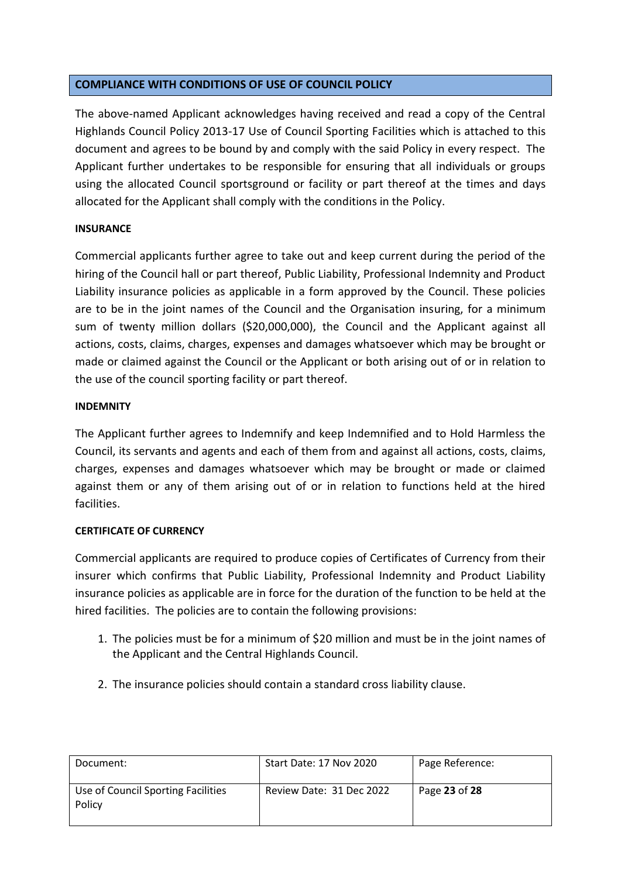#### **COMPLIANCE WITH CONDITIONS OF USE OF COUNCIL POLICY**

The above-named Applicant acknowledges having received and read a copy of the Central Highlands Council Policy 2013-17 Use of Council Sporting Facilities which is attached to this document and agrees to be bound by and comply with the said Policy in every respect. The Applicant further undertakes to be responsible for ensuring that all individuals or groups using the allocated Council sportsground or facility or part thereof at the times and days allocated for the Applicant shall comply with the conditions in the Policy.

#### **INSURANCE**

Commercial applicants further agree to take out and keep current during the period of the hiring of the Council hall or part thereof, Public Liability, Professional Indemnity and Product Liability insurance policies as applicable in a form approved by the Council. These policies are to be in the joint names of the Council and the Organisation insuring, for a minimum sum of twenty million dollars (\$20,000,000), the Council and the Applicant against all actions, costs, claims, charges, expenses and damages whatsoever which may be brought or made or claimed against the Council or the Applicant or both arising out of or in relation to the use of the council sporting facility or part thereof.

#### **INDEMNITY**

The Applicant further agrees to Indemnify and keep Indemnified and to Hold Harmless the Council, its servants and agents and each of them from and against all actions, costs, claims, charges, expenses and damages whatsoever which may be brought or made or claimed against them or any of them arising out of or in relation to functions held at the hired facilities.

## **CERTIFICATE OF CURRENCY**

Commercial applicants are required to produce copies of Certificates of Currency from their insurer which confirms that Public Liability, Professional Indemnity and Product Liability insurance policies as applicable are in force for the duration of the function to be held at the hired facilities. The policies are to contain the following provisions:

- 1. The policies must be for a minimum of \$20 million and must be in the joint names of the Applicant and the Central Highlands Council.
- 2. The insurance policies should contain a standard cross liability clause.

| Document:                                    | Start Date: 17 Nov 2020  | Page Reference: |
|----------------------------------------------|--------------------------|-----------------|
| Use of Council Sporting Facilities<br>Policy | Review Date: 31 Dec 2022 | Page 23 of 28   |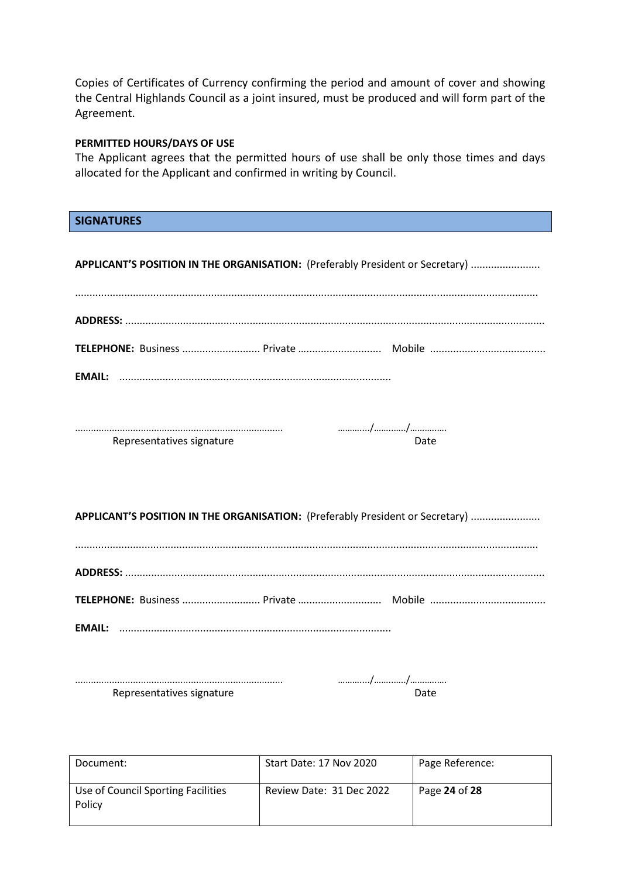Copies of Certificates of Currency confirming the period and amount of cover and showing the Central Highlands Council as a joint insured, must be produced and will form part of the Agreement.

#### **PERMITTED HOURS/DAYS OF USE**

The Applicant agrees that the permitted hours of use shall be only those times and days allocated for the Applicant and confirmed in writing by Council.

#### **SIGNATURES**

**APPLICANT'S POSITION IN THE ORGANISATION:** (Preferably President or Secretary) ........................

| <b>EMAIL:</b> |  |
|---------------|--|

| Representatives signature |  |  |
|---------------------------|--|--|

**APPLICANT'S POSITION IN THE ORGANISATION:** (Preferably President or Secretary) ........................

| Representatives signature | าล†ค |
|---------------------------|------|

| Document:                                    | Start Date: 17 Nov 2020  | Page Reference: |
|----------------------------------------------|--------------------------|-----------------|
| Use of Council Sporting Facilities<br>Policy | Review Date: 31 Dec 2022 | Page 24 of 28   |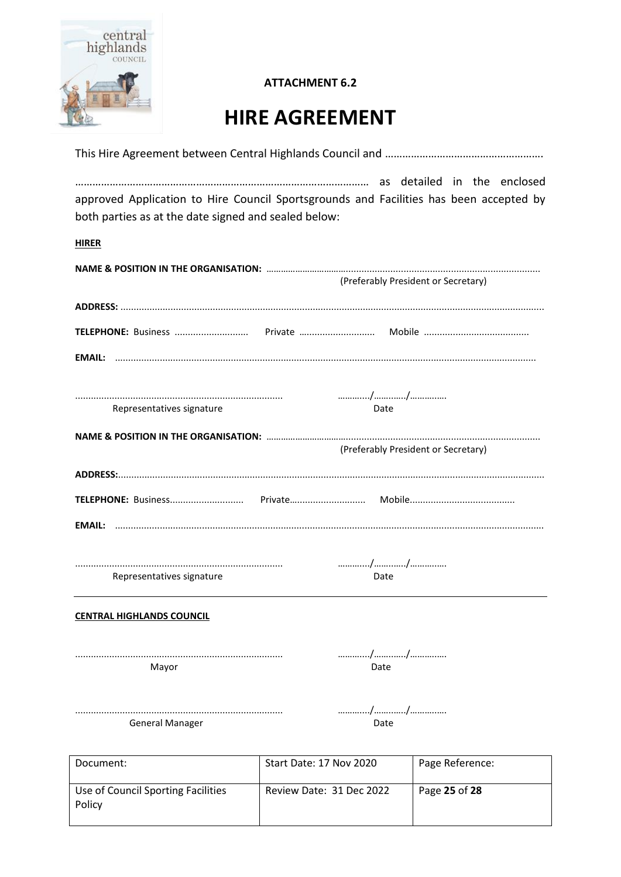

## **HIRE AGREEMENT**

| approved Application to Hire Council Sportsgrounds and Facilities has been accepted by |                         |                                     |
|----------------------------------------------------------------------------------------|-------------------------|-------------------------------------|
| both parties as at the date signed and sealed below:                                   |                         |                                     |
| <b>HIRER</b>                                                                           |                         |                                     |
|                                                                                        |                         | (Preferably President or Secretary) |
|                                                                                        |                         |                                     |
|                                                                                        |                         |                                     |
|                                                                                        |                         |                                     |
|                                                                                        |                         |                                     |
| Representatives signature                                                              | Date                    |                                     |
|                                                                                        |                         |                                     |
|                                                                                        |                         | (Preferably President or Secretary) |
|                                                                                        |                         |                                     |
|                                                                                        |                         |                                     |
|                                                                                        |                         |                                     |
|                                                                                        |                         |                                     |
|                                                                                        |                         |                                     |
| Representatives signature                                                              | Date                    |                                     |
|                                                                                        |                         |                                     |
| <b>CENTRAL HIGHLANDS COUNCIL</b>                                                       |                         |                                     |
|                                                                                        |                         | //                                  |
| Mayor                                                                                  | Date                    |                                     |
|                                                                                        |                         |                                     |
|                                                                                        |                         | .//                                 |
| <b>General Manager</b>                                                                 | Date                    |                                     |
|                                                                                        |                         |                                     |
| Document:                                                                              | Start Date: 17 Nov 2020 | Page Reference:                     |

| Document:                                    | Start Date: 17 Nov 2020  | Page Reference: |
|----------------------------------------------|--------------------------|-----------------|
| Use of Council Sporting Facilities<br>Policy | Review Date: 31 Dec 2022 | Page 25 of 28   |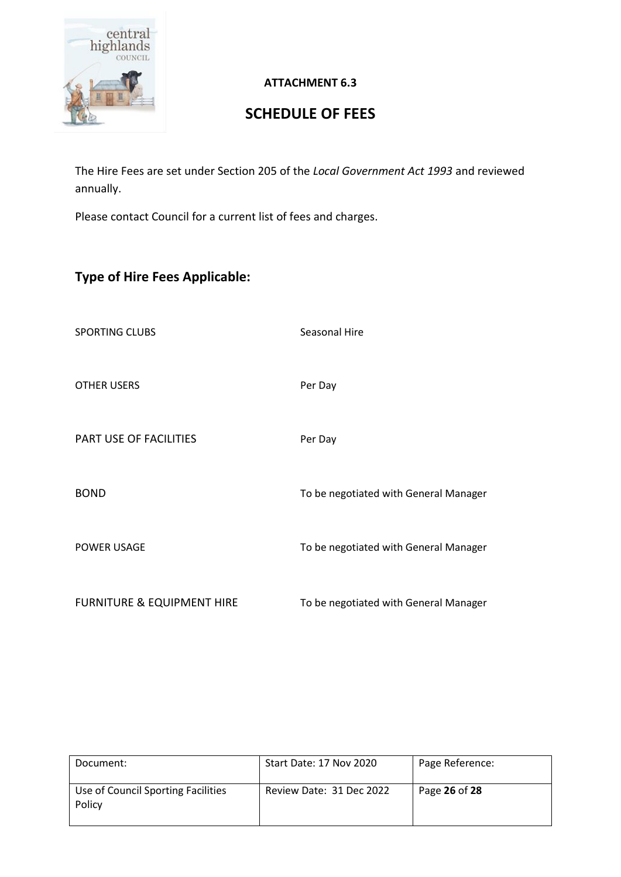

## **SCHEDULE OF FEES**

The Hire Fees are set under Section 205 of the *Local Government Act 1993* and reviewed annually.

Please contact Council for a current list of fees and charges.

## **Type of Hire Fees Applicable:**

SPORTING CLUBS Seasonal Hire

OTHER USERS Per Day

PART USE OF FACILITIES Per Day

BOND BOND **To be negotiated with General Manager** 

POWER USAGE TO be negotiated with General Manager

FURNITURE & EQUIPMENT HIRE To be negotiated with General Manager

| Document:                                    | Start Date: 17 Nov 2020  | Page Reference: |
|----------------------------------------------|--------------------------|-----------------|
| Use of Council Sporting Facilities<br>Policy | Review Date: 31 Dec 2022 | Page 26 of 28   |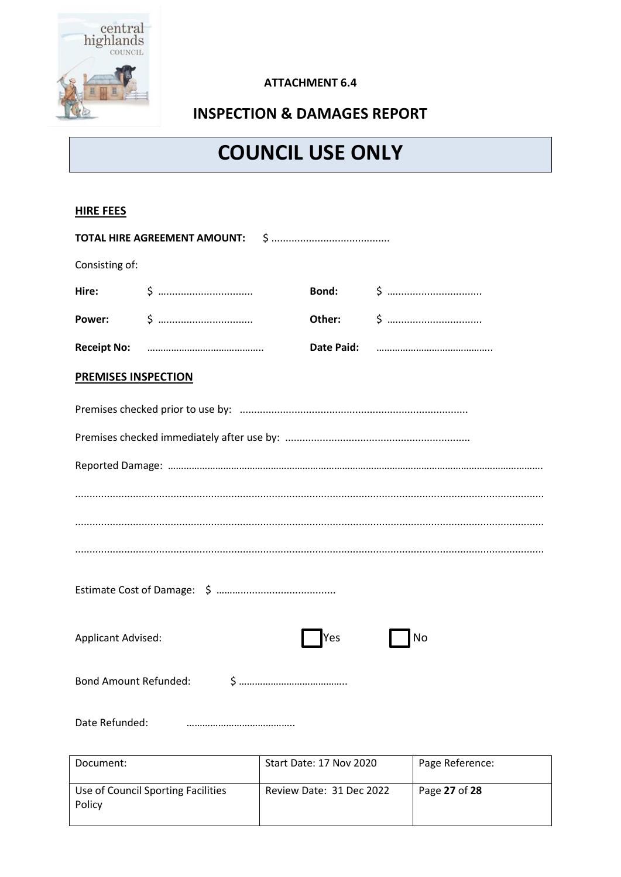

## **INSPECTION & DAMAGES REPORT**

## **COUNCIL USE ONLY**

#### **HIRE FEES**

| Consisting of:             |  |     |    |  |
|----------------------------|--|-----|----|--|
|                            |  |     |    |  |
|                            |  |     |    |  |
|                            |  |     |    |  |
| <b>PREMISES INSPECTION</b> |  |     |    |  |
|                            |  |     |    |  |
|                            |  |     |    |  |
|                            |  |     |    |  |
|                            |  |     |    |  |
|                            |  |     |    |  |
|                            |  |     |    |  |
|                            |  |     |    |  |
| <b>Applicant Advised:</b>  |  | Yes | No |  |
|                            |  |     |    |  |
| Date Refunded:             |  |     |    |  |

| Document:                                    | Start Date: 17 Nov 2020  | Page Reference: |
|----------------------------------------------|--------------------------|-----------------|
| Use of Council Sporting Facilities<br>Policy | Review Date: 31 Dec 2022 | Page 27 of 28   |